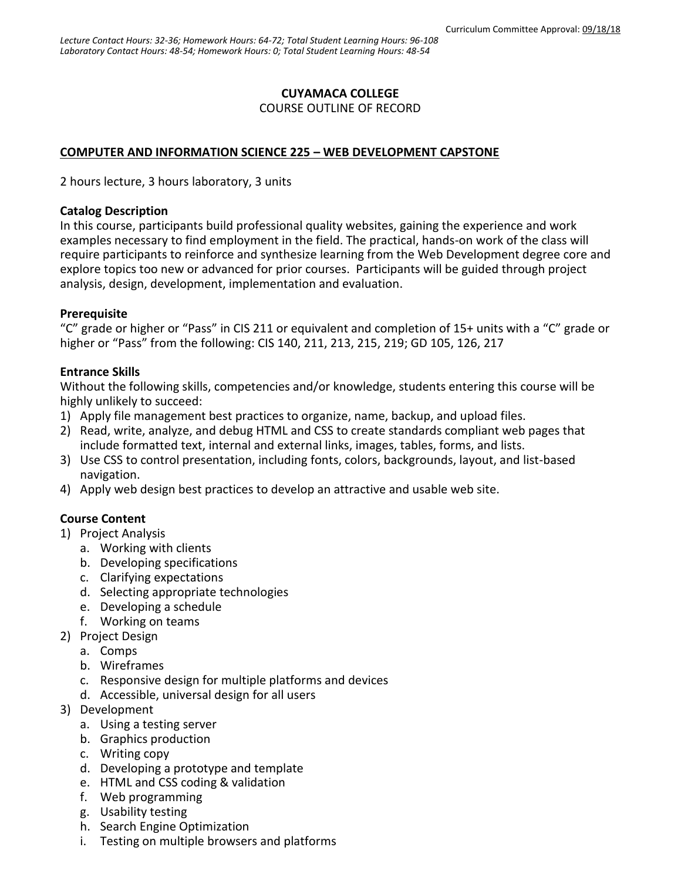## **CUYAMACA COLLEGE**

COURSE OUTLINE OF RECORD

### **COMPUTER AND INFORMATION SCIENCE 225 – WEB DEVELOPMENT CAPSTONE**

2 hours lecture, 3 hours laboratory, 3 units

#### **Catalog Description**

In this course, participants build professional quality websites, gaining the experience and work examples necessary to find employment in the field. The practical, hands-on work of the class will require participants to reinforce and synthesize learning from the Web Development degree core and explore topics too new or advanced for prior courses. Participants will be guided through project analysis, design, development, implementation and evaluation.

#### **Prerequisite**

"C" grade or higher or "Pass" in CIS 211 or equivalent and completion of 15+ units with a "C" grade or higher or "Pass" from the following: CIS 140, 211, 213, 215, 219; GD 105, 126, 217

#### **Entrance Skills**

Without the following skills, competencies and/or knowledge, students entering this course will be highly unlikely to succeed:

- 1) Apply file management best practices to organize, name, backup, and upload files.
- 2) Read, write, analyze, and debug HTML and CSS to create standards compliant web pages that include formatted text, internal and external links, images, tables, forms, and lists.
- 3) Use CSS to control presentation, including fonts, colors, backgrounds, layout, and list-based navigation.
- 4) Apply web design best practices to develop an attractive and usable web site.

### **Course Content**

- 1) Project Analysis
	- a. Working with clients
	- b. Developing specifications
	- c. Clarifying expectations
	- d. Selecting appropriate technologies
	- e. Developing a schedule
	- f. Working on teams
- 2) Project Design
	- a. Comps
	- b. Wireframes
	- c. Responsive design for multiple platforms and devices
	- d. Accessible, universal design for all users
- 3) Development
	- a. Using a testing server
	- b. Graphics production
	- c. Writing copy
	- d. Developing a prototype and template
	- e. HTML and CSS coding & validation
	- f. Web programming
	- g. Usability testing
	- h. Search Engine Optimization
	- i. Testing on multiple browsers and platforms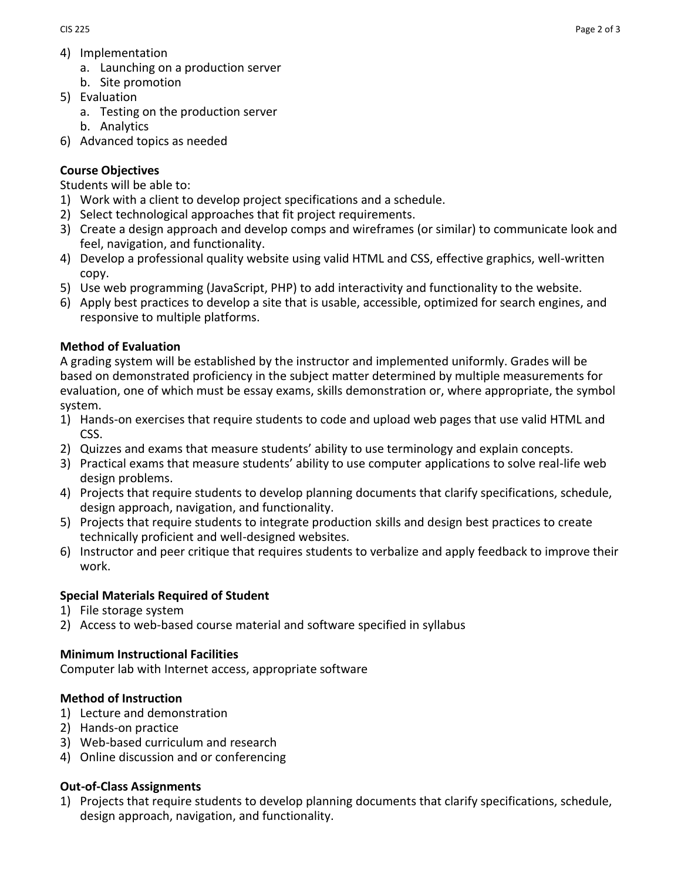- 4) Implementation
	- a. Launching on a production server
	- b. Site promotion
- 5) Evaluation
	- a. Testing on the production server
	- b. Analytics
- 6) Advanced topics as needed

## **Course Objectives**

Students will be able to:

- 1) Work with a client to develop project specifications and a schedule.
- 2) Select technological approaches that fit project requirements.
- 3) Create a design approach and develop comps and wireframes (or similar) to communicate look and feel, navigation, and functionality.
- 4) Develop a professional quality website using valid HTML and CSS, effective graphics, well-written copy.
- 5) Use web programming (JavaScript, PHP) to add interactivity and functionality to the website.
- 6) Apply best practices to develop a site that is usable, accessible, optimized for search engines, and responsive to multiple platforms.

# **Method of Evaluation**

A grading system will be established by the instructor and implemented uniformly. Grades will be based on demonstrated proficiency in the subject matter determined by multiple measurements for evaluation, one of which must be essay exams, skills demonstration or, where appropriate, the symbol system.

- 1) Hands-on exercises that require students to code and upload web pages that use valid HTML and CSS.
- 2) Quizzes and exams that measure students' ability to use terminology and explain concepts.
- 3) Practical exams that measure students' ability to use computer applications to solve real-life web design problems.
- 4) Projects that require students to develop planning documents that clarify specifications, schedule, design approach, navigation, and functionality.
- 5) Projects that require students to integrate production skills and design best practices to create technically proficient and well-designed websites.
- 6) Instructor and peer critique that requires students to verbalize and apply feedback to improve their work.

## **Special Materials Required of Student**

- 1) File storage system
- 2) Access to web-based course material and software specified in syllabus

## **Minimum Instructional Facilities**

Computer lab with Internet access, appropriate software

## **Method of Instruction**

- 1) Lecture and demonstration
- 2) Hands-on practice
- 3) Web-based curriculum and research
- 4) Online discussion and or conferencing

# **Out-of-Class Assignments**

1) Projects that require students to develop planning documents that clarify specifications, schedule, design approach, navigation, and functionality.